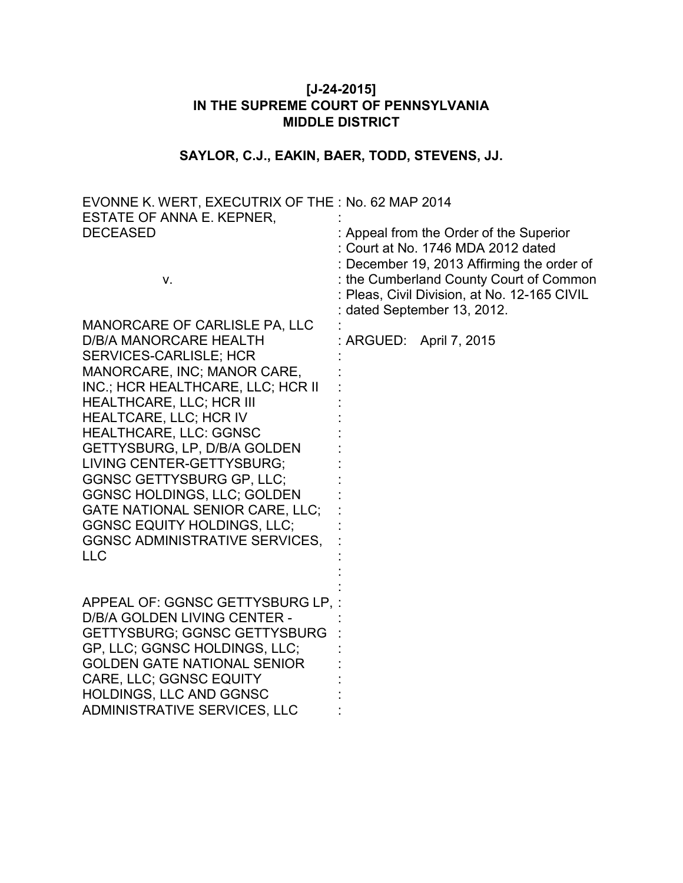# **[J-24-2015] IN THE SUPREME COURT OF PENNSYLVANIA MIDDLE DISTRICT**

# **SAYLOR, C.J., EAKIN, BAER, TODD, STEVENS, JJ.**

| EVONNE K. WERT, EXECUTRIX OF THE : No. 62 MAP 2014 |                                              |
|----------------------------------------------------|----------------------------------------------|
| ESTATE OF ANNA E. KEPNER,                          |                                              |
| <b>DECEASED</b>                                    | : Appeal from the Order of the Superior      |
|                                                    | : Court at No. 1746 MDA 2012 dated           |
|                                                    | : December 19, 2013 Affirming the order of   |
| V.                                                 | : the Cumberland County Court of Common      |
|                                                    | : Pleas, Civil Division, at No. 12-165 CIVIL |
|                                                    | : dated September 13, 2012.                  |
| <b>MANORCARE OF CARLISLE PA, LLC</b>               |                                              |
| <b>D/B/A MANORCARE HEALTH</b>                      | : ARGUED: April 7, 2015                      |
| <b>SERVICES-CARLISLE; HCR</b>                      |                                              |
| MANORCARE, INC; MANOR CARE,                        |                                              |
| INC.; HCR HEALTHCARE, LLC; HCR II                  |                                              |
| <b>HEALTHCARE, LLC; HCR III</b>                    |                                              |
| HEALTCARE, LLC; HCR IV                             |                                              |
| <b>HEALTHCARE, LLC: GGNSC</b>                      |                                              |
| GETTYSBURG, LP, D/B/A GOLDEN                       |                                              |
| LIVING CENTER-GETTYSBURG;                          |                                              |
| <b>GGNSC GETTYSBURG GP, LLC;</b>                   |                                              |
| <b>GGNSC HOLDINGS, LLC; GOLDEN</b>                 |                                              |
| GATE NATIONAL SENIOR CARE, LLC;                    |                                              |
| <b>GGNSC EQUITY HOLDINGS, LLC;</b>                 |                                              |
| <b>GGNSC ADMINISTRATIVE SERVICES,</b>              |                                              |
| <b>LLC</b>                                         |                                              |
|                                                    |                                              |
|                                                    |                                              |
| APPEAL OF: GGNSC GETTYSBURG LP, :                  |                                              |
| D/B/A GOLDEN LIVING CENTER -                       |                                              |
| <b>GETTYSBURG; GGNSC GETTYSBURG</b>                |                                              |
| GP, LLC; GGNSC HOLDINGS, LLC;                      |                                              |
| <b>GOLDEN GATE NATIONAL SENIOR</b>                 |                                              |
| <b>CARE, LLC; GGNSC EQUITY</b>                     |                                              |
| HOLDINGS, LLC AND GGNSC                            |                                              |
| <b>ADMINISTRATIVE SERVICES, LLC</b>                |                                              |
|                                                    |                                              |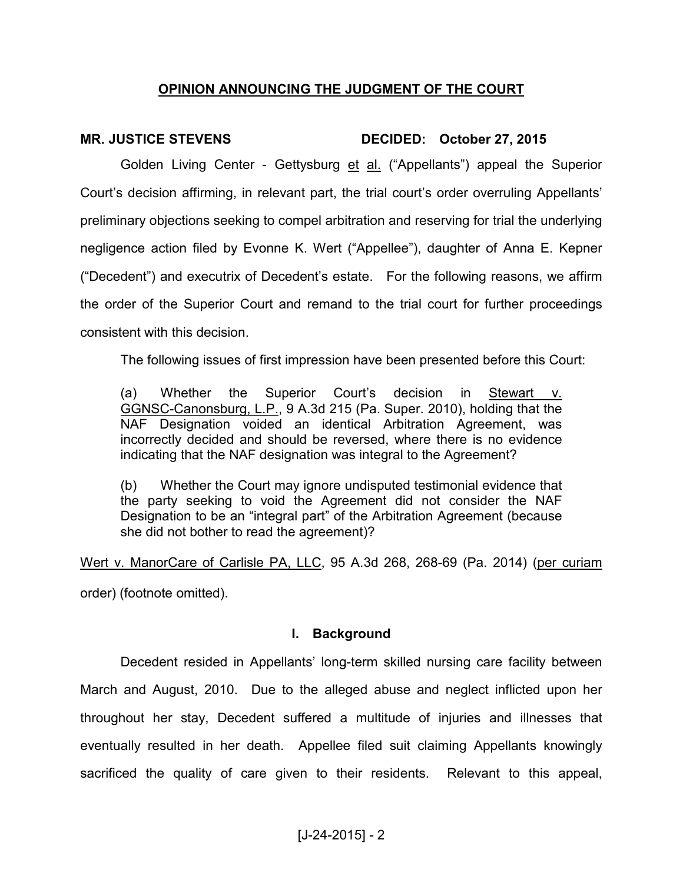### **OPINION ANNOUNCING THE JUDGMENT OF THE COURT**

# **MR. JUSTICE STEVENS DECIDED: October 27, 2015**

Golden Living Center - Gettysburg et al. ("Appellants") appeal the Superior Court's decision affirming, in relevant part, the trial court's order overruling Appellants' preliminary objections seeking to compel arbitration and reserving for trial the underlying negligence action filed by Evonne K. Wert ("Appellee"), daughter of Anna E. Kepner ("Decedent") and executrix of Decedent's estate. For the following reasons, we affirm the order of the Superior Court and remand to the trial court for further proceedings consistent with this decision.

The following issues of first impression have been presented before this Court:

(a) Whether the Superior Court's decision in Stewart v. GGNSC-Canonsburg, L.P., 9 A.3d 215 (Pa. Super. 2010), holding that the NAF Designation voided an identical Arbitration Agreement, was incorrectly decided and should be reversed, where there is no evidence indicating that the NAF designation was integral to the Agreement?

(b) Whether the Court may ignore undisputed testimonial evidence that the party seeking to void the Agreement did not consider the NAF Designation to be an "integral part" of the Arbitration Agreement (because she did not bother to read the agreement)?

Wert v. ManorCare of Carlisle PA, LLC, 95 A.3d 268, 268-69 (Pa. 2014) (per curiam order) (footnote omitted).

#### **I. Background**

 Decedent resided in Appellants' long-term skilled nursing care facility between March and August, 2010. Due to the alleged abuse and neglect inflicted upon her throughout her stay, Decedent suffered a multitude of injuries and illnesses that eventually resulted in her death. Appellee filed suit claiming Appellants knowingly sacrificed the quality of care given to their residents. Relevant to this appeal,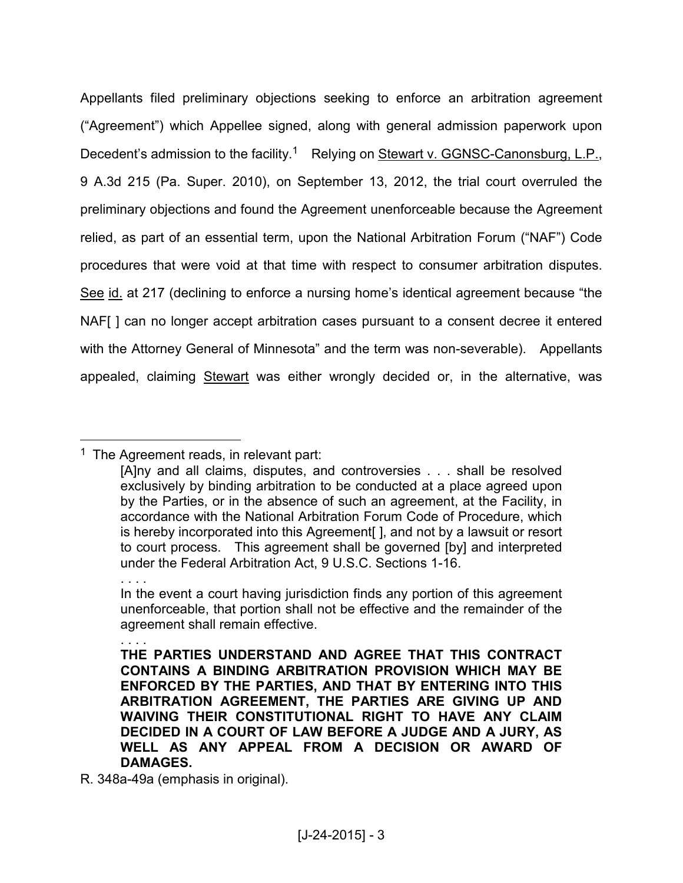Appellants filed preliminary objections seeking to enforce an arbitration agreement ("Agreement") which Appellee signed, along with general admission paperwork upon Decedent's admission to the facility.<sup>1</sup> Relying on Stewart v. GGNSC-Canonsburg, L.P., 9 A.3d 215 (Pa. Super. 2010), on September 13, 2012, the trial court overruled the preliminary objections and found the Agreement unenforceable because the Agreement relied, as part of an essential term, upon the National Arbitration Forum ("NAF") Code procedures that were void at that time with respect to consumer arbitration disputes. See id. at 217 (declining to enforce a nursing home's identical agreement because "the NAF[ ] can no longer accept arbitration cases pursuant to a consent decree it entered with the Attorney General of Minnesota" and the term was non-severable). Appellants appealed, claiming **Stewart** was either wrongly decided or, in the alternative, was

<sup>&</sup>lt;sup>1</sup> The Agreement reads, in relevant part:

<sup>[</sup>A]ny and all claims, disputes, and controversies . . . shall be resolved exclusively by binding arbitration to be conducted at a place agreed upon by the Parties, or in the absence of such an agreement, at the Facility, in accordance with the National Arbitration Forum Code of Procedure, which is hereby incorporated into this Agreement[ ], and not by a lawsuit or resort to court process. This agreement shall be governed [by] and interpreted under the Federal Arbitration Act, 9 U.S.C. Sections 1-16.

<sup>. . . .</sup>  In the event a court having jurisdiction finds any portion of this agreement unenforceable, that portion shall not be effective and the remainder of the agreement shall remain effective.

<sup>. . . .</sup> 

**THE PARTIES UNDERSTAND AND AGREE THAT THIS CONTRACT CONTAINS A BINDING ARBITRATION PROVISION WHICH MAY BE ENFORCED BY THE PARTIES, AND THAT BY ENTERING INTO THIS ARBITRATION AGREEMENT, THE PARTIES ARE GIVING UP AND WAIVING THEIR CONSTITUTIONAL RIGHT TO HAVE ANY CLAIM DECIDED IN A COURT OF LAW BEFORE A JUDGE AND A JURY, AS WELL AS ANY APPEAL FROM A DECISION OR AWARD OF DAMAGES.** 

R. 348a-49a (emphasis in original).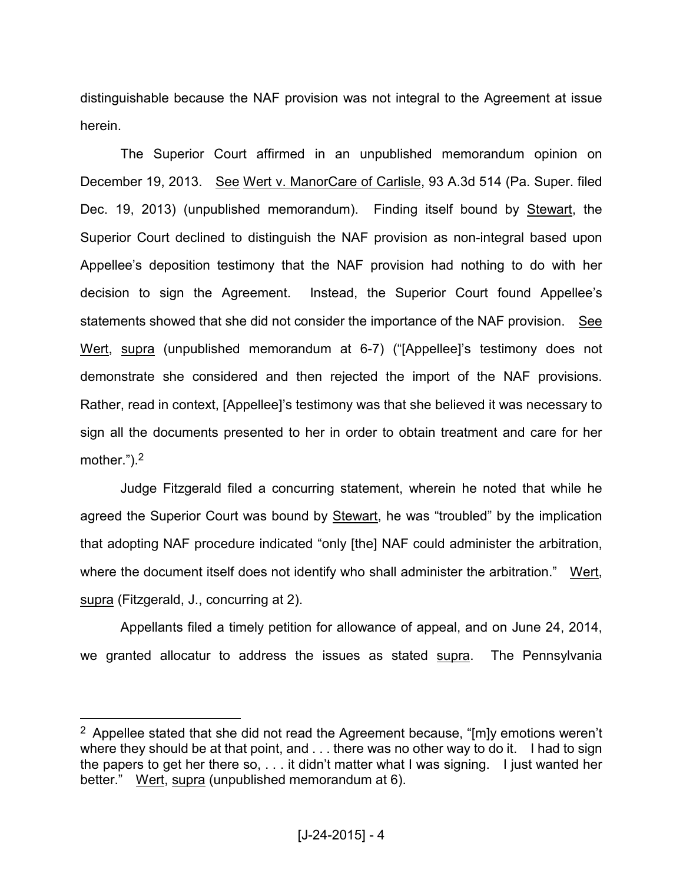distinguishable because the NAF provision was not integral to the Agreement at issue herein.

 The Superior Court affirmed in an unpublished memorandum opinion on December 19, 2013. See Wert v. ManorCare of Carlisle, 93 A.3d 514 (Pa. Super. filed Dec. 19, 2013) (unpublished memorandum). Finding itself bound by Stewart, the Superior Court declined to distinguish the NAF provision as non-integral based upon Appellee's deposition testimony that the NAF provision had nothing to do with her decision to sign the Agreement. Instead, the Superior Court found Appellee's statements showed that she did not consider the importance of the NAF provision. See Wert, supra (unpublished memorandum at 6-7) ("[Appellee]'s testimony does not demonstrate she considered and then rejected the import of the NAF provisions. Rather, read in context, [Appellee]'s testimony was that she believed it was necessary to sign all the documents presented to her in order to obtain treatment and care for her mother.").<sup>2</sup>

 Judge Fitzgerald filed a concurring statement, wherein he noted that while he agreed the Superior Court was bound by Stewart, he was "troubled" by the implication that adopting NAF procedure indicated "only [the] NAF could administer the arbitration, where the document itself does not identify who shall administer the arbitration." Wert, supra (Fitzgerald, J., concurring at 2).

 Appellants filed a timely petition for allowance of appeal, and on June 24, 2014, we granted allocatur to address the issues as stated supra. The Pennsylvania

<sup>&</sup>lt;sup>2</sup> Appellee stated that she did not read the Agreement because, "[m]y emotions weren't where they should be at that point, and . . . there was no other way to do it. I had to sign the papers to get her there so,  $\dots$  it didn't matter what I was signing. I just wanted her better." Wert, supra (unpublished memorandum at 6).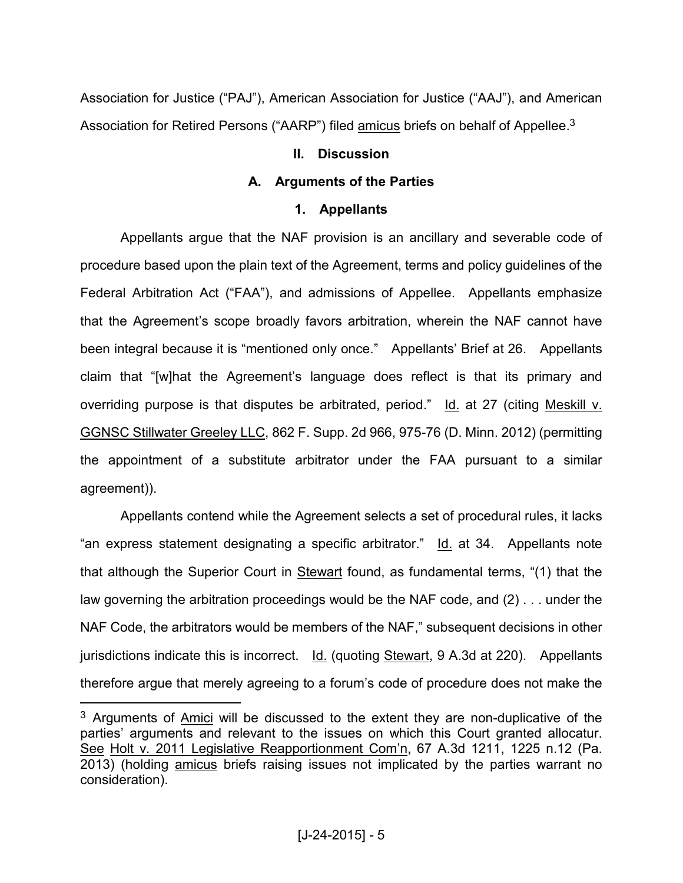Association for Justice ("PAJ"), American Association for Justice ("AAJ"), and American Association for Retired Persons ("AARP") filed amicus briefs on behalf of Appellee.<sup>3</sup>

### **II. Discussion**

# **A. Arguments of the Parties**

# **1. Appellants**

Appellants argue that the NAF provision is an ancillary and severable code of procedure based upon the plain text of the Agreement, terms and policy guidelines of the Federal Arbitration Act ("FAA"), and admissions of Appellee. Appellants emphasize that the Agreement's scope broadly favors arbitration, wherein the NAF cannot have been integral because it is "mentioned only once." Appellants' Brief at 26. Appellants claim that "[w]hat the Agreement's language does reflect is that its primary and overriding purpose is that disputes be arbitrated, period." Id. at 27 (citing Meskill v. GGNSC Stillwater Greeley LLC, 862 F. Supp. 2d 966, 975-76 (D. Minn. 2012) (permitting the appointment of a substitute arbitrator under the FAA pursuant to a similar agreement)).

 Appellants contend while the Agreement selects a set of procedural rules, it lacks "an express statement designating a specific arbitrator." Id. at 34. Appellants note that although the Superior Court in Stewart found, as fundamental terms, "(1) that the law governing the arbitration proceedings would be the NAF code, and (2) . . . under the NAF Code, the arbitrators would be members of the NAF," subsequent decisions in other jurisdictions indicate this is incorrect. Id. (quoting Stewart, 9 A.3d at 220). Appellants therefore argue that merely agreeing to a forum's code of procedure does not make the

 $3$  Arguments of  $\Delta$ mici will be discussed to the extent they are non-duplicative of the parties' arguments and relevant to the issues on which this Court granted allocatur. See Holt v. 2011 Legislative Reapportionment Com'n, 67 A.3d 1211, 1225 n.12 (Pa. 2013) (holding amicus briefs raising issues not implicated by the parties warrant no consideration).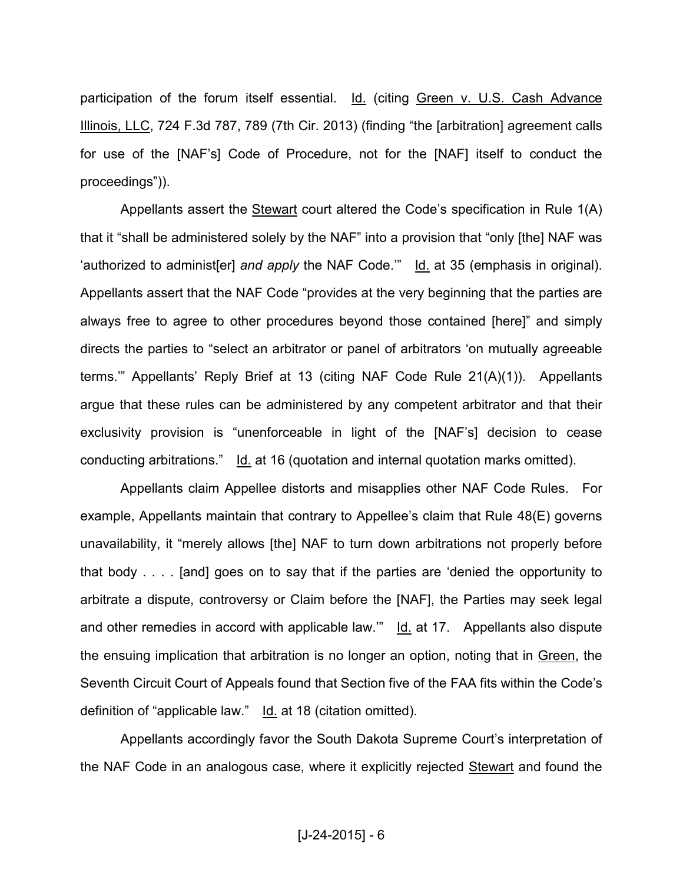participation of the forum itself essential. Id. (citing Green v. U.S. Cash Advance Illinois, LLC, 724 F.3d 787, 789 (7th Cir. 2013) (finding "the [arbitration] agreement calls for use of the [NAF's] Code of Procedure, not for the [NAF] itself to conduct the proceedings")).

 Appellants assert the Stewart court altered the Code's specification in Rule 1(A) that it "shall be administered solely by the NAF" into a provision that "only [the] NAF was 'authorized to administ[er] *and apply* the NAF Code.'" Id. at 35 (emphasis in original). Appellants assert that the NAF Code "provides at the very beginning that the parties are always free to agree to other procedures beyond those contained [here]" and simply directs the parties to "select an arbitrator or panel of arbitrators 'on mutually agreeable terms.'" Appellants' Reply Brief at 13 (citing NAF Code Rule 21(A)(1)). Appellants argue that these rules can be administered by any competent arbitrator and that their exclusivity provision is "unenforceable in light of the [NAF's] decision to cease conducting arbitrations." Id. at 16 (quotation and internal quotation marks omitted).

 Appellants claim Appellee distorts and misapplies other NAF Code Rules. For example, Appellants maintain that contrary to Appellee's claim that Rule 48(E) governs unavailability, it "merely allows [the] NAF to turn down arbitrations not properly before that body . . . . [and] goes on to say that if the parties are 'denied the opportunity to arbitrate a dispute, controversy or Claim before the [NAF], the Parties may seek legal and other remedies in accord with applicable law." Id. at 17. Appellants also dispute the ensuing implication that arbitration is no longer an option, noting that in Green, the Seventh Circuit Court of Appeals found that Section five of the FAA fits within the Code's definition of "applicable law." Id. at 18 (citation omitted).

 Appellants accordingly favor the South Dakota Supreme Court's interpretation of the NAF Code in an analogous case, where it explicitly rejected Stewart and found the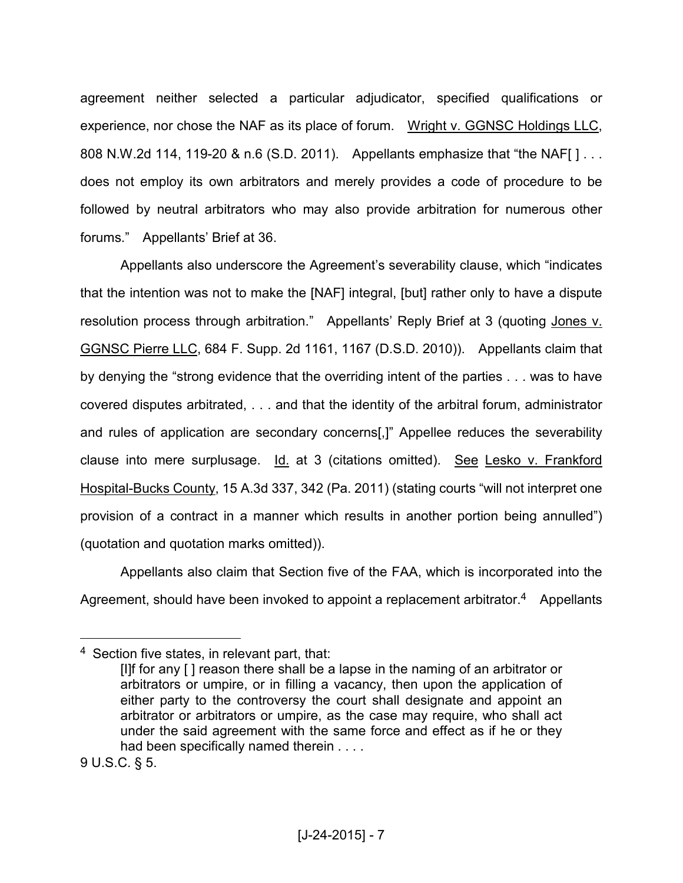agreement neither selected a particular adjudicator, specified qualifications or experience, nor chose the NAF as its place of forum. Wright v. GGNSC Holdings LLC, 808 N.W.2d 114, 119-20 & n.6 (S.D. 2011). Appellants emphasize that "the NAF[ ] . . . does not employ its own arbitrators and merely provides a code of procedure to be followed by neutral arbitrators who may also provide arbitration for numerous other forums." Appellants' Brief at 36.

 Appellants also underscore the Agreement's severability clause, which "indicates that the intention was not to make the [NAF] integral, [but] rather only to have a dispute resolution process through arbitration." Appellants' Reply Brief at 3 (quoting Jones v. GGNSC Pierre LLC, 684 F. Supp. 2d 1161, 1167 (D.S.D. 2010)). Appellants claim that by denying the "strong evidence that the overriding intent of the parties . . . was to have covered disputes arbitrated, . . . and that the identity of the arbitral forum, administrator and rules of application are secondary concerns[,]" Appellee reduces the severability clause into mere surplusage. Id. at 3 (citations omitted). See Lesko v. Frankford Hospital-Bucks County, 15 A.3d 337, 342 (Pa. 2011) (stating courts "will not interpret one provision of a contract in a manner which results in another portion being annulled") (quotation and quotation marks omitted)).

 Appellants also claim that Section five of the FAA, which is incorporated into the Agreement, should have been invoked to appoint a replacement arbitrator.<sup>4</sup> Appellants

<sup>4</sup> Section five states, in relevant part, that:

<sup>[</sup>I]f for any [ ] reason there shall be a lapse in the naming of an arbitrator or arbitrators or umpire, or in filling a vacancy, then upon the application of either party to the controversy the court shall designate and appoint an arbitrator or arbitrators or umpire, as the case may require, who shall act under the said agreement with the same force and effect as if he or they had been specifically named therein . . . .

<sup>9</sup> U.S.C. § 5.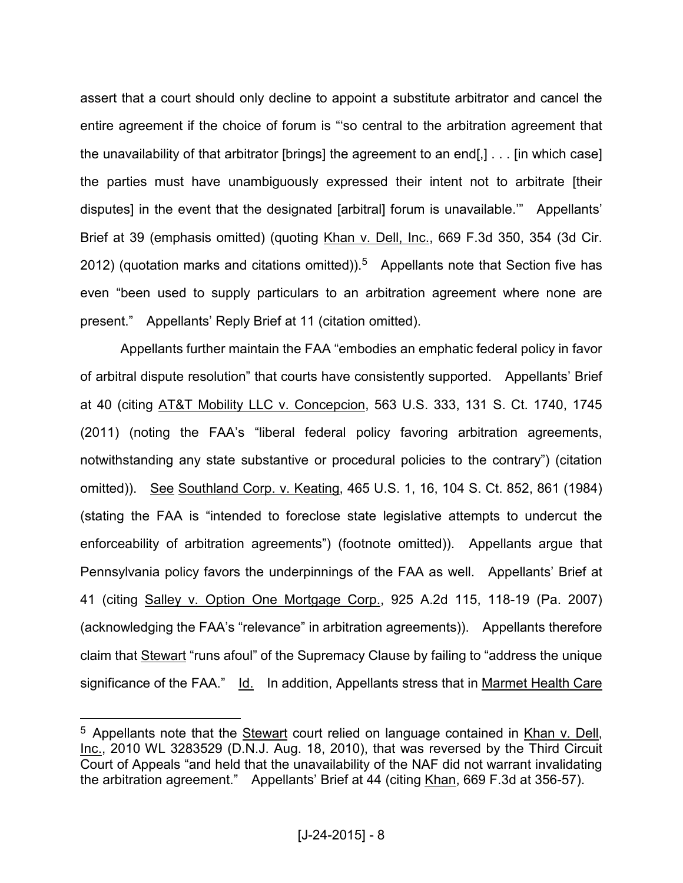assert that a court should only decline to appoint a substitute arbitrator and cancel the entire agreement if the choice of forum is "'so central to the arbitration agreement that the unavailability of that arbitrator [brings] the agreement to an end[,] . . . [in which case] the parties must have unambiguously expressed their intent not to arbitrate [their disputes] in the event that the designated [arbitral] forum is unavailable.'" Appellants' Brief at 39 (emphasis omitted) (quoting Khan v. Dell, Inc., 669 F.3d 350, 354 (3d Cir. 2012) (quotation marks and citations omitted)).<sup>5</sup> Appellants note that Section five has even "been used to supply particulars to an arbitration agreement where none are present." Appellants' Reply Brief at 11 (citation omitted).

 Appellants further maintain the FAA "embodies an emphatic federal policy in favor of arbitral dispute resolution" that courts have consistently supported. Appellants' Brief at 40 (citing AT&T Mobility LLC v. Concepcion, 563 U.S. 333, 131 S. Ct. 1740, 1745 (2011) (noting the FAA's "liberal federal policy favoring arbitration agreements, notwithstanding any state substantive or procedural policies to the contrary") (citation omitted)). See Southland Corp. v. Keating, 465 U.S. 1, 16, 104 S. Ct. 852, 861 (1984) (stating the FAA is "intended to foreclose state legislative attempts to undercut the enforceability of arbitration agreements") (footnote omitted)). Appellants argue that Pennsylvania policy favors the underpinnings of the FAA as well. Appellants' Brief at 41 (citing Salley v. Option One Mortgage Corp., 925 A.2d 115, 118-19 (Pa. 2007) (acknowledging the FAA's "relevance" in arbitration agreements)). Appellants therefore claim that Stewart "runs afoul" of the Supremacy Clause by failing to "address the unique significance of the FAA." Id. In addition, Appellants stress that in Marmet Health Care

<sup>&</sup>lt;sup>5</sup> Appellants note that the Stewart court relied on language contained in Khan v. Dell, Inc., 2010 WL 3283529 (D.N.J. Aug. 18, 2010), that was reversed by the Third Circuit Court of Appeals "and held that the unavailability of the NAF did not warrant invalidating the arbitration agreement." Appellants' Brief at 44 (citing Khan, 669 F.3d at 356-57).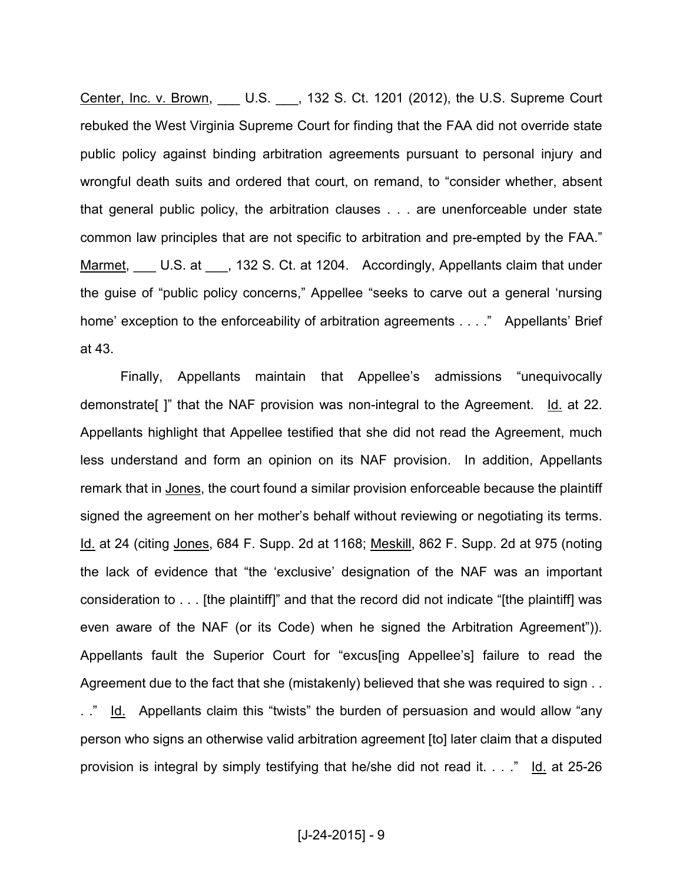Center, Inc. v. Brown, \_\_\_ U.S. \_\_\_, 132 S. Ct. 1201 (2012), the U.S. Supreme Court rebuked the West Virginia Supreme Court for finding that the FAA did not override state public policy against binding arbitration agreements pursuant to personal injury and wrongful death suits and ordered that court, on remand, to "consider whether, absent that general public policy, the arbitration clauses . . . are unenforceable under state common law principles that are not specific to arbitration and pre-empted by the FAA." Marmet, U.S. at 132 S. Ct. at 1204. Accordingly, Appellants claim that under the guise of "public policy concerns," Appellee "seeks to carve out a general 'nursing home' exception to the enforceability of arbitration agreements . . . ." Appellants' Brief at 43.

 Finally, Appellants maintain that Appellee's admissions "unequivocally demonstrate[ ]" that the NAF provision was non-integral to the Agreement. Id. at 22. Appellants highlight that Appellee testified that she did not read the Agreement, much less understand and form an opinion on its NAF provision. In addition, Appellants remark that in Jones, the court found a similar provision enforceable because the plaintiff signed the agreement on her mother's behalf without reviewing or negotiating its terms. Id. at 24 (citing Jones, 684 F. Supp. 2d at 1168; Meskill, 862 F. Supp. 2d at 975 (noting the lack of evidence that "the 'exclusive' designation of the NAF was an important consideration to . . . [the plaintiff]" and that the record did not indicate "[the plaintiff] was even aware of the NAF (or its Code) when he signed the Arbitration Agreement")). Appellants fault the Superior Court for "excus[ing Appellee's] failure to read the Agreement due to the fact that she (mistakenly) believed that she was required to sign . . .." Id. Appellants claim this "twists" the burden of persuasion and would allow "any person who signs an otherwise valid arbitration agreement [to] later claim that a disputed provision is integral by simply testifying that he/she did not read it. . . ." Id. at 25-26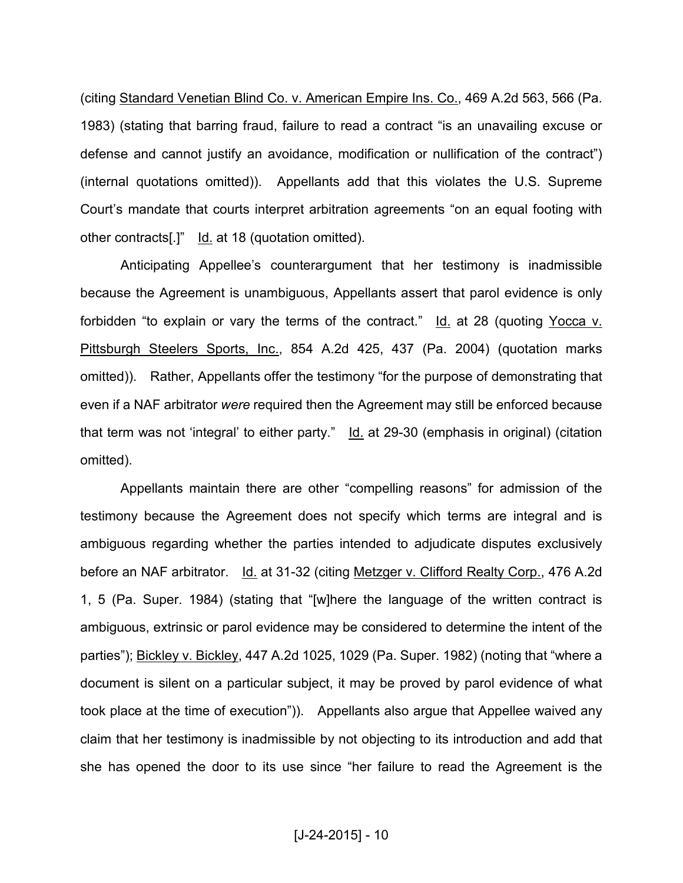(citing Standard Venetian Blind Co. v. American Empire Ins. Co., 469 A.2d 563, 566 (Pa. 1983) (stating that barring fraud, failure to read a contract "is an unavailing excuse or defense and cannot justify an avoidance, modification or nullification of the contract") (internal quotations omitted)). Appellants add that this violates the U.S. Supreme Court's mandate that courts interpret arbitration agreements "on an equal footing with other contracts[.]" Id. at 18 (quotation omitted).

 Anticipating Appellee's counterargument that her testimony is inadmissible because the Agreement is unambiguous, Appellants assert that parol evidence is only forbidden "to explain or vary the terms of the contract."  $Id.$  at 28 (quoting Yocca v. Pittsburgh Steelers Sports, Inc., 854 A.2d 425, 437 (Pa. 2004) (quotation marks omitted)). Rather, Appellants offer the testimony "for the purpose of demonstrating that even if a NAF arbitrator *were* required then the Agreement may still be enforced because that term was not 'integral' to either party." Id. at 29-30 (emphasis in original) (citation omitted).

 Appellants maintain there are other "compelling reasons" for admission of the testimony because the Agreement does not specify which terms are integral and is ambiguous regarding whether the parties intended to adjudicate disputes exclusively before an NAF arbitrator. Id. at 31-32 (citing Metzger v. Clifford Realty Corp., 476 A.2d 1, 5 (Pa. Super. 1984) (stating that "[w]here the language of the written contract is ambiguous, extrinsic or parol evidence may be considered to determine the intent of the parties"); Bickley v. Bickley, 447 A.2d 1025, 1029 (Pa. Super. 1982) (noting that "where a document is silent on a particular subject, it may be proved by parol evidence of what took place at the time of execution")). Appellants also argue that Appellee waived any claim that her testimony is inadmissible by not objecting to its introduction and add that she has opened the door to its use since "her failure to read the Agreement is the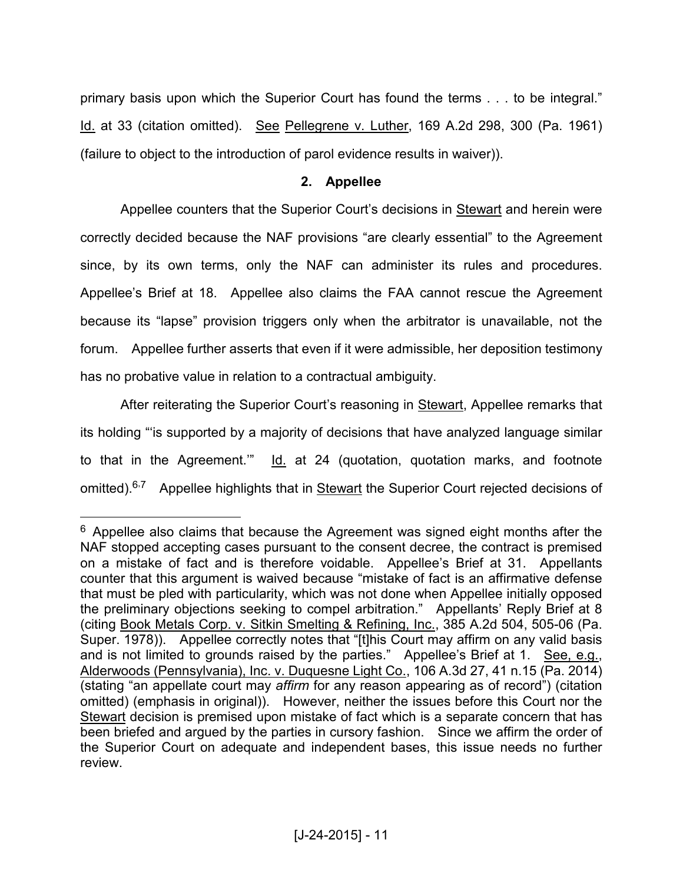primary basis upon which the Superior Court has found the terms . . . to be integral." Id. at 33 (citation omitted). See Pellegrene v. Luther, 169 A.2d 298, 300 (Pa. 1961) (failure to object to the introduction of parol evidence results in waiver)).

### **2. Appellee**

Appellee counters that the Superior Court's decisions in Stewart and herein were correctly decided because the NAF provisions "are clearly essential" to the Agreement since, by its own terms, only the NAF can administer its rules and procedures. Appellee's Brief at 18. Appellee also claims the FAA cannot rescue the Agreement because its "lapse" provision triggers only when the arbitrator is unavailable, not the forum. Appellee further asserts that even if it were admissible, her deposition testimony has no probative value in relation to a contractual ambiguity.

 After reiterating the Superior Court's reasoning in Stewart, Appellee remarks that its holding "'is supported by a majority of decisions that have analyzed language similar to that in the Agreement.'" Id. at 24 (quotation, quotation marks, and footnote omitted).<sup>6.7</sup> Appellee highlights that in **Stewart** the Superior Court rejected decisions of

 $6$  Appellee also claims that because the Agreement was signed eight months after the NAF stopped accepting cases pursuant to the consent decree, the contract is premised on a mistake of fact and is therefore voidable. Appellee's Brief at 31. Appellants counter that this argument is waived because "mistake of fact is an affirmative defense that must be pled with particularity, which was not done when Appellee initially opposed the preliminary objections seeking to compel arbitration." Appellants' Reply Brief at 8 (citing Book Metals Corp. v. Sitkin Smelting & Refining, Inc., 385 A.2d 504, 505-06 (Pa. Super. 1978)). Appellee correctly notes that "[t]his Court may affirm on any valid basis and is not limited to grounds raised by the parties." Appellee's Brief at 1. See, e.g., Alderwoods (Pennsylvania), Inc. v. Duquesne Light Co., 106 A.3d 27, 41 n.15 (Pa. 2014) (stating "an appellate court may *affirm* for any reason appearing as of record") (citation omitted) (emphasis in original)). However, neither the issues before this Court nor the Stewart decision is premised upon mistake of fact which is a separate concern that has been briefed and argued by the parties in cursory fashion. Since we affirm the order of the Superior Court on adequate and independent bases, this issue needs no further review.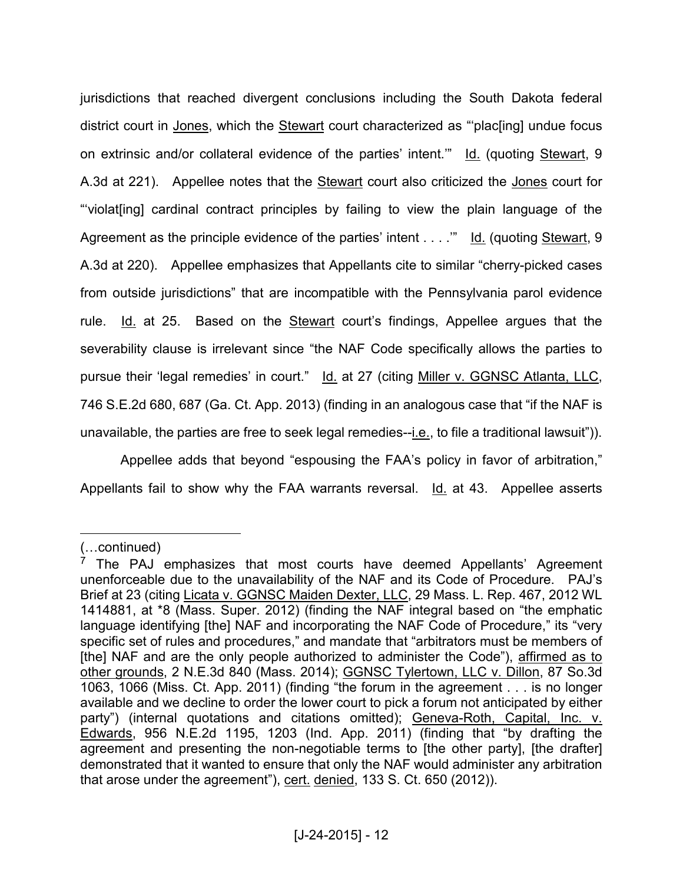jurisdictions that reached divergent conclusions including the South Dakota federal district court in Jones, which the Stewart court characterized as "'plac[ing] undue focus on extrinsic and/or collateral evidence of the parties' intent.'" Id. (quoting Stewart, 9 A.3d at 221). Appellee notes that the Stewart court also criticized the Jones court for "'violat[ing] cardinal contract principles by failing to view the plain language of the Agreement as the principle evidence of the parties' intent . . . ."" Id. (quoting Stewart, 9 A.3d at 220). Appellee emphasizes that Appellants cite to similar "cherry-picked cases from outside jurisdictions" that are incompatible with the Pennsylvania parol evidence rule. Id. at 25. Based on the Stewart court's findings, Appellee argues that the severability clause is irrelevant since "the NAF Code specifically allows the parties to pursue their 'legal remedies' in court." Id. at 27 (citing Miller v. GGNSC Atlanta, LLC, 746 S.E.2d 680, 687 (Ga. Ct. App. 2013) (finding in an analogous case that "if the NAF is unavailable, the parties are free to seek legal remedies--i.e., to file a traditional lawsuit")).

 Appellee adds that beyond "espousing the FAA's policy in favor of arbitration," Appellants fail to show why the FAA warrants reversal. Id. at 43. Appellee asserts

<sup>(...</sup>continued)

 $7$  The PAJ emphasizes that most courts have deemed Appellants' Agreement unenforceable due to the unavailability of the NAF and its Code of Procedure. PAJ's Brief at 23 (citing Licata v. GGNSC Maiden Dexter, LLC, 29 Mass. L. Rep. 467, 2012 WL 1414881, at \*8 (Mass. Super. 2012) (finding the NAF integral based on "the emphatic language identifying [the] NAF and incorporating the NAF Code of Procedure," its "very specific set of rules and procedures," and mandate that "arbitrators must be members of [the] NAF and are the only people authorized to administer the Code"), affirmed as to other grounds, 2 N.E.3d 840 (Mass. 2014); GGNSC Tylertown, LLC v. Dillon, 87 So.3d 1063, 1066 (Miss. Ct. App. 2011) (finding "the forum in the agreement . . . is no longer available and we decline to order the lower court to pick a forum not anticipated by either party") (internal quotations and citations omitted); Geneva-Roth, Capital, Inc. v. Edwards, 956 N.E.2d 1195, 1203 (Ind. App. 2011) (finding that "by drafting the agreement and presenting the non-negotiable terms to [the other party], [the drafter] demonstrated that it wanted to ensure that only the NAF would administer any arbitration that arose under the agreement"), cert. denied, 133 S. Ct. 650 (2012)).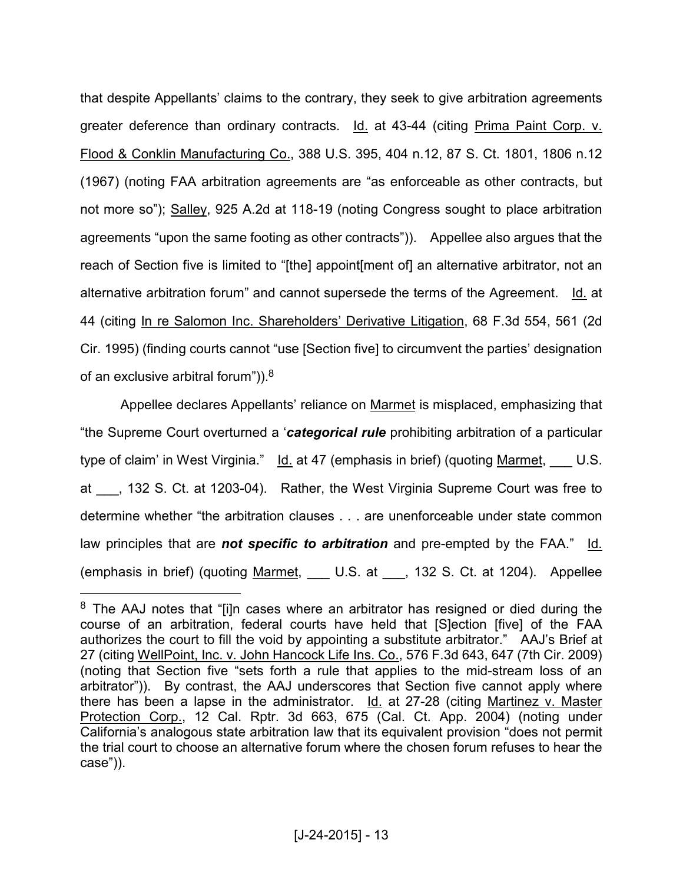that despite Appellants' claims to the contrary, they seek to give arbitration agreements greater deference than ordinary contracts. Id. at 43-44 (citing Prima Paint Corp. v. Flood & Conklin Manufacturing Co., 388 U.S. 395, 404 n.12, 87 S. Ct. 1801, 1806 n.12 (1967) (noting FAA arbitration agreements are "as enforceable as other contracts, but not more so"); Salley, 925 A.2d at 118-19 (noting Congress sought to place arbitration agreements "upon the same footing as other contracts")). Appellee also argues that the reach of Section five is limited to "[the] appoint[ment of] an alternative arbitrator, not an alternative arbitration forum" and cannot supersede the terms of the Agreement. Id. at 44 (citing In re Salomon Inc. Shareholders' Derivative Litigation, 68 F.3d 554, 561 (2d Cir. 1995) (finding courts cannot "use [Section five] to circumvent the parties' designation of an exclusive arbitral forum")).<sup>8</sup>

 Appellee declares Appellants' reliance on Marmet is misplaced, emphasizing that "the Supreme Court overturned a '*categorical rule* prohibiting arbitration of a particular type of claim' in West Virginia."  $Id.$  at 47 (emphasis in brief) (quoting Marmet,  $U.S.$ at , 132 S. Ct. at 1203-04). Rather, the West Virginia Supreme Court was free to determine whether "the arbitration clauses . . . are unenforceable under state common law principles that are *not specific to arbitration* and pre-empted by the FAA." Id. (emphasis in brief) (quoting Marmet, \_\_\_ U.S. at \_\_\_, 132 S. Ct. at 1204). Appellee

<sup>&</sup>lt;sup>8</sup> The AAJ notes that "[i]n cases where an arbitrator has resigned or died during the course of an arbitration, federal courts have held that [S]ection [five] of the FAA authorizes the court to fill the void by appointing a substitute arbitrator." AAJ's Brief at 27 (citing WellPoint, Inc. v. John Hancock Life Ins. Co., 576 F.3d 643, 647 (7th Cir. 2009) (noting that Section five "sets forth a rule that applies to the mid-stream loss of an arbitrator")). By contrast, the AAJ underscores that Section five cannot apply where there has been a lapse in the administrator. Id. at 27-28 (citing Martinez v. Master Protection Corp., 12 Cal. Rptr. 3d 663, 675 (Cal. Ct. App. 2004) (noting under California's analogous state arbitration law that its equivalent provision "does not permit the trial court to choose an alternative forum where the chosen forum refuses to hear the case")).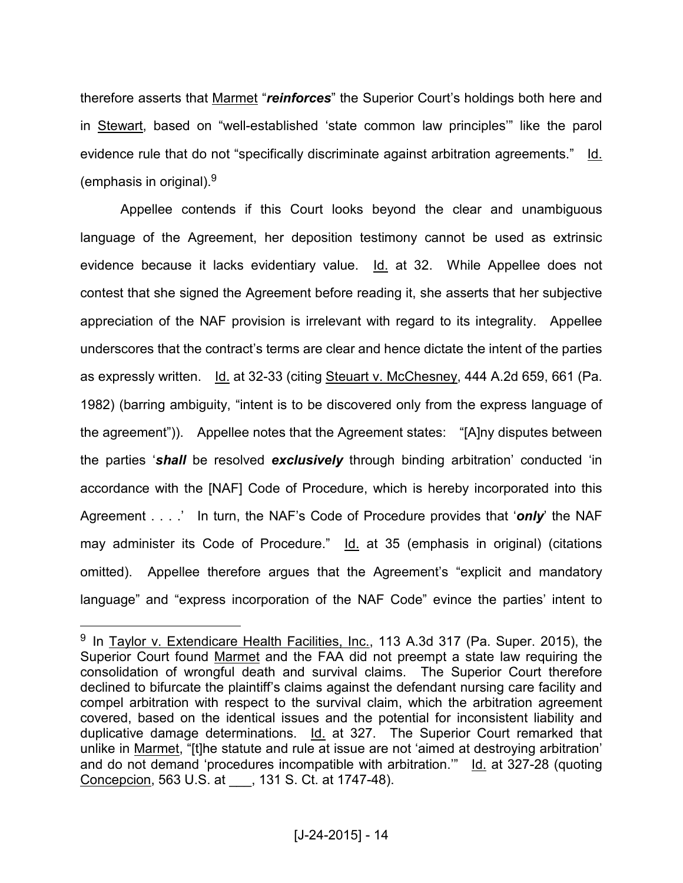therefore asserts that Marmet "*reinforces*" the Superior Court's holdings both here and in Stewart, based on "well-established 'state common law principles'" like the parol evidence rule that do not "specifically discriminate against arbitration agreements." Id. (emphasis in original).<sup>9</sup>

 Appellee contends if this Court looks beyond the clear and unambiguous language of the Agreement, her deposition testimony cannot be used as extrinsic evidence because it lacks evidentiary value. Id. at 32. While Appellee does not contest that she signed the Agreement before reading it, she asserts that her subjective appreciation of the NAF provision is irrelevant with regard to its integrality. Appellee underscores that the contract's terms are clear and hence dictate the intent of the parties as expressly written. Id. at 32-33 (citing Steuart v. McChesney, 444 A.2d 659, 661 (Pa. 1982) (barring ambiguity, "intent is to be discovered only from the express language of the agreement")). Appellee notes that the Agreement states: "[A]ny disputes between the parties '*shall* be resolved *exclusively* through binding arbitration' conducted 'in accordance with the [NAF] Code of Procedure, which is hereby incorporated into this Agreement . . . .' In turn, the NAF's Code of Procedure provides that '*only*' the NAF may administer its Code of Procedure." Id. at 35 (emphasis in original) (citations omitted). Appellee therefore argues that the Agreement's "explicit and mandatory language" and "express incorporation of the NAF Code" evince the parties' intent to

<sup>&</sup>lt;sup>9</sup> In Taylor v. Extendicare Health Facilities, Inc., 113 A.3d 317 (Pa. Super. 2015), the Superior Court found Marmet and the FAA did not preempt a state law requiring the consolidation of wrongful death and survival claims. The Superior Court therefore declined to bifurcate the plaintiff's claims against the defendant nursing care facility and compel arbitration with respect to the survival claim, which the arbitration agreement covered, based on the identical issues and the potential for inconsistent liability and duplicative damage determinations. Id. at 327. The Superior Court remarked that unlike in Marmet, "[t]he statute and rule at issue are not 'aimed at destroying arbitration' and do not demand 'procedures incompatible with arbitration."  $\underline{Id}$  at 327-28 (quoting Concepcion, 563 U.S. at \_\_\_, 131 S. Ct. at 1747-48).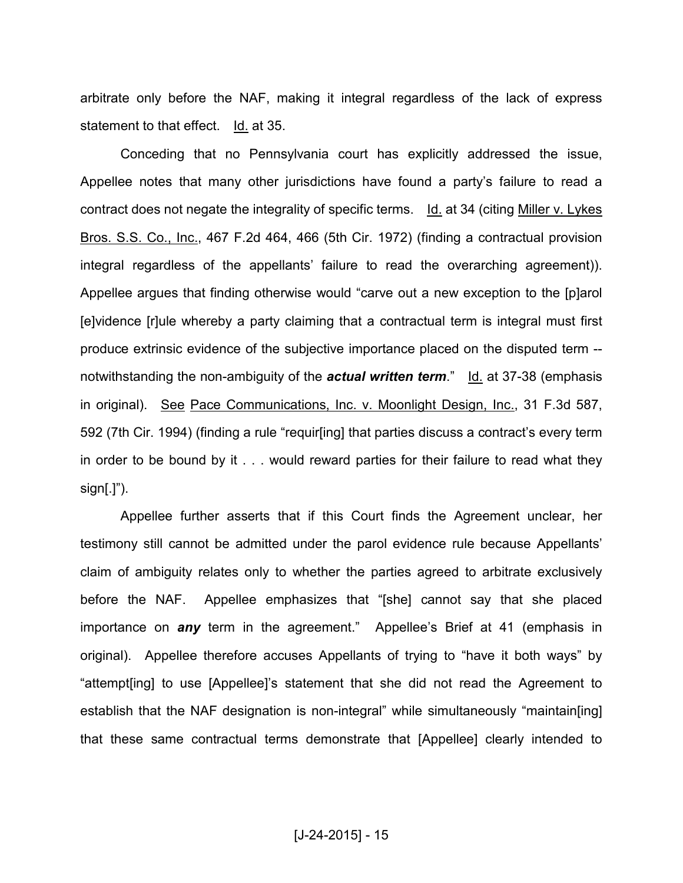arbitrate only before the NAF, making it integral regardless of the lack of express statement to that effect. Id. at 35.

 Conceding that no Pennsylvania court has explicitly addressed the issue, Appellee notes that many other jurisdictions have found a party's failure to read a contract does not negate the integrality of specific terms. Id. at 34 (citing Miller v. Lykes Bros. S.S. Co., Inc., 467 F.2d 464, 466 (5th Cir. 1972) (finding a contractual provision integral regardless of the appellants' failure to read the overarching agreement)). Appellee argues that finding otherwise would "carve out a new exception to the [p]arol [e]vidence [r]ule whereby a party claiming that a contractual term is integral must first produce extrinsic evidence of the subjective importance placed on the disputed term - notwithstanding the non-ambiguity of the *actual written term*." Id. at 37-38 (emphasis in original). See Pace Communications, Inc. v. Moonlight Design, Inc., 31 F.3d 587, 592 (7th Cir. 1994) (finding a rule "requir[ing] that parties discuss a contract's every term in order to be bound by it . . . would reward parties for their failure to read what they  $sign[.]$ ").

 Appellee further asserts that if this Court finds the Agreement unclear, her testimony still cannot be admitted under the parol evidence rule because Appellants' claim of ambiguity relates only to whether the parties agreed to arbitrate exclusively before the NAF. Appellee emphasizes that "[she] cannot say that she placed importance on *any* term in the agreement." Appellee's Brief at 41 (emphasis in original). Appellee therefore accuses Appellants of trying to "have it both ways" by "attempt[ing] to use [Appellee]'s statement that she did not read the Agreement to establish that the NAF designation is non-integral" while simultaneously "maintain[ing] that these same contractual terms demonstrate that [Appellee] clearly intended to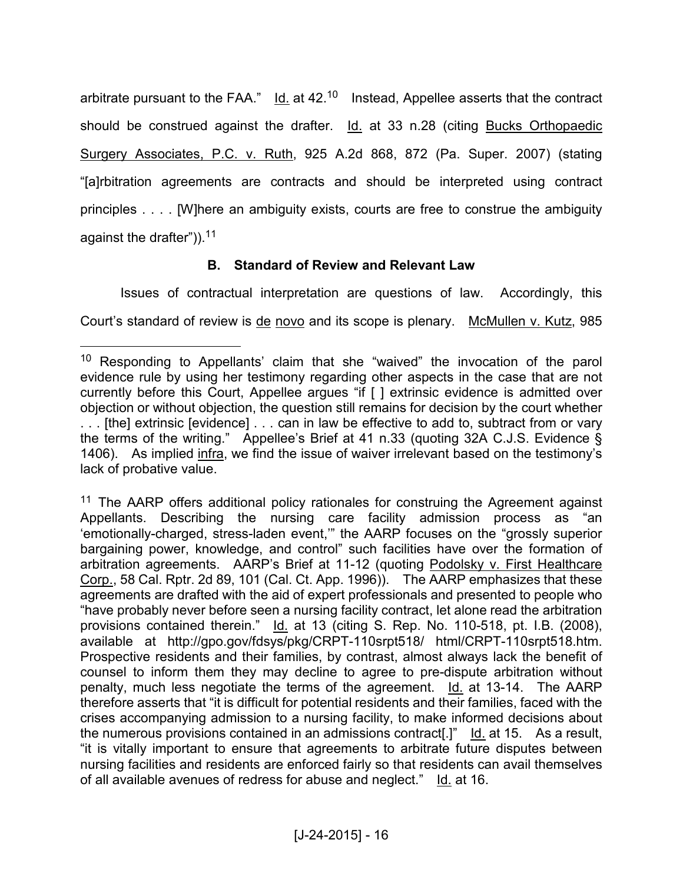arbitrate pursuant to the FAA."  $\overline{Id}$ . at 42.<sup>10</sup> Instead, Appellee asserts that the contract should be construed against the drafter. Id. at 33 n.28 (citing Bucks Orthopaedic Surgery Associates, P.C. v. Ruth, 925 A.2d 868, 872 (Pa. Super. 2007) (stating "[a]rbitration agreements are contracts and should be interpreted using contract principles . . . . [W]here an ambiguity exists, courts are free to construe the ambiguity against the drafter")).<sup>11</sup>

### **B. Standard of Review and Relevant Law**

 Issues of contractual interpretation are questions of law. Accordingly, this Court's standard of review is de novo and its scope is plenary. McMullen v. Kutz, 985

<sup>10</sup> Responding to Appellants' claim that she "waived" the invocation of the parol evidence rule by using her testimony regarding other aspects in the case that are not currently before this Court, Appellee argues "if [ ] extrinsic evidence is admitted over objection or without objection, the question still remains for decision by the court whether . . . [the] extrinsic [evidence] . . . can in law be effective to add to, subtract from or vary the terms of the writing." Appellee's Brief at 41 n.33 (quoting 32A C.J.S. Evidence § 1406). As implied infra, we find the issue of waiver irrelevant based on the testimony's lack of probative value.

<sup>&</sup>lt;sup>11</sup> The AARP offers additional policy rationales for construing the Agreement against Appellants. Describing the nursing care facility admission process as "an 'emotionally-charged, stress-laden event,'" the AARP focuses on the "grossly superior bargaining power, knowledge, and control" such facilities have over the formation of arbitration agreements. AARP's Brief at 11-12 (quoting Podolsky v. First Healthcare Corp., 58 Cal. Rptr. 2d 89, 101 (Cal. Ct. App. 1996)). The AARP emphasizes that these agreements are drafted with the aid of expert professionals and presented to people who "have probably never before seen a nursing facility contract, let alone read the arbitration provisions contained therein." Id. at 13 (citing S. Rep. No. 110-518, pt. I.B. (2008), available at http://gpo.gov/fdsys/pkg/CRPT-110srpt518/ html/CRPT-110srpt518.htm. Prospective residents and their families, by contrast, almost always lack the benefit of counsel to inform them they may decline to agree to pre-dispute arbitration without penalty, much less negotiate the terms of the agreement. Id. at 13-14. The AARP therefore asserts that "it is difficult for potential residents and their families, faced with the crises accompanying admission to a nursing facility, to make informed decisions about the numerous provisions contained in an admissions contract[.]" Id. at 15. As a result, "it is vitally important to ensure that agreements to arbitrate future disputes between nursing facilities and residents are enforced fairly so that residents can avail themselves of all available avenues of redress for abuse and neglect." Id. at 16.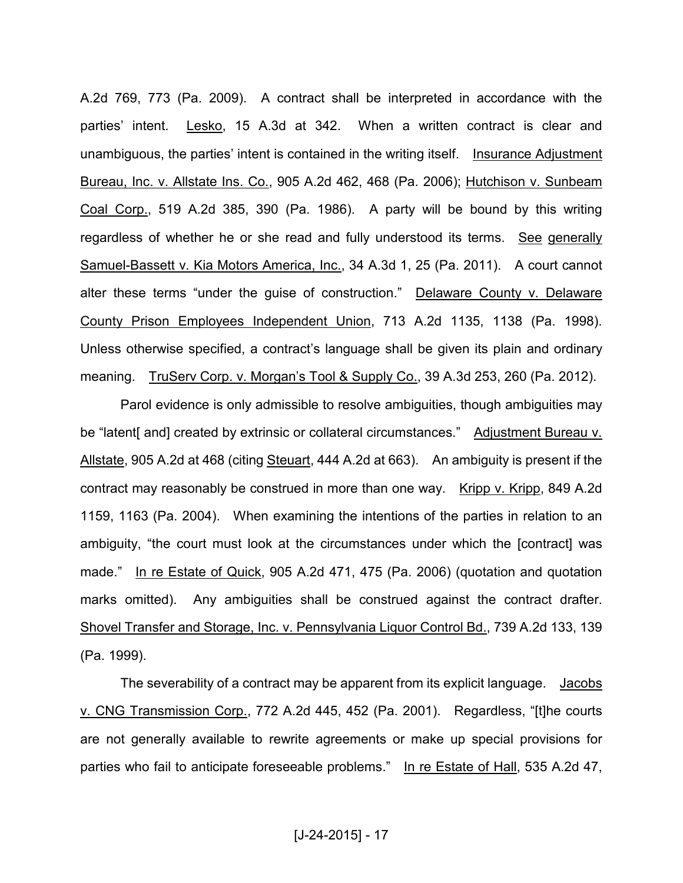A.2d 769, 773 (Pa. 2009). A contract shall be interpreted in accordance with the parties' intent. Lesko, 15 A.3d at 342. When a written contract is clear and unambiguous, the parties' intent is contained in the writing itself. Insurance Adjustment Bureau, Inc. v. Allstate Ins. Co., 905 A.2d 462, 468 (Pa. 2006); Hutchison v. Sunbeam Coal Corp., 519 A.2d 385, 390 (Pa. 1986). A party will be bound by this writing regardless of whether he or she read and fully understood its terms. See generally Samuel-Bassett v. Kia Motors America, Inc., 34 A.3d 1, 25 (Pa. 2011). A court cannot alter these terms "under the guise of construction." Delaware County v. Delaware County Prison Employees Independent Union, 713 A.2d 1135, 1138 (Pa. 1998). Unless otherwise specified, a contract's language shall be given its plain and ordinary meaning. TruServ Corp. v. Morgan's Tool & Supply Co., 39 A.3d 253, 260 (Pa. 2012).

 Parol evidence is only admissible to resolve ambiguities, though ambiguities may be "latent [and] created by extrinsic or collateral circumstances." Adjustment Bureau v. Allstate, 905 A.2d at 468 (citing Steuart, 444 A.2d at 663). An ambiguity is present if the contract may reasonably be construed in more than one way. Kripp v. Kripp, 849 A.2d 1159, 1163 (Pa. 2004). When examining the intentions of the parties in relation to an ambiguity, "the court must look at the circumstances under which the [contract] was made." In re Estate of Quick, 905 A.2d 471, 475 (Pa. 2006) (quotation and quotation marks omitted). Any ambiguities shall be construed against the contract drafter. Shovel Transfer and Storage, Inc. v. Pennsylvania Liquor Control Bd., 739 A.2d 133, 139 (Pa. 1999).

The severability of a contract may be apparent from its explicit language. Jacobs v. CNG Transmission Corp., 772 A.2d 445, 452 (Pa. 2001). Regardless, "[t]he courts are not generally available to rewrite agreements or make up special provisions for parties who fail to anticipate foreseeable problems." In re Estate of Hall, 535 A.2d 47,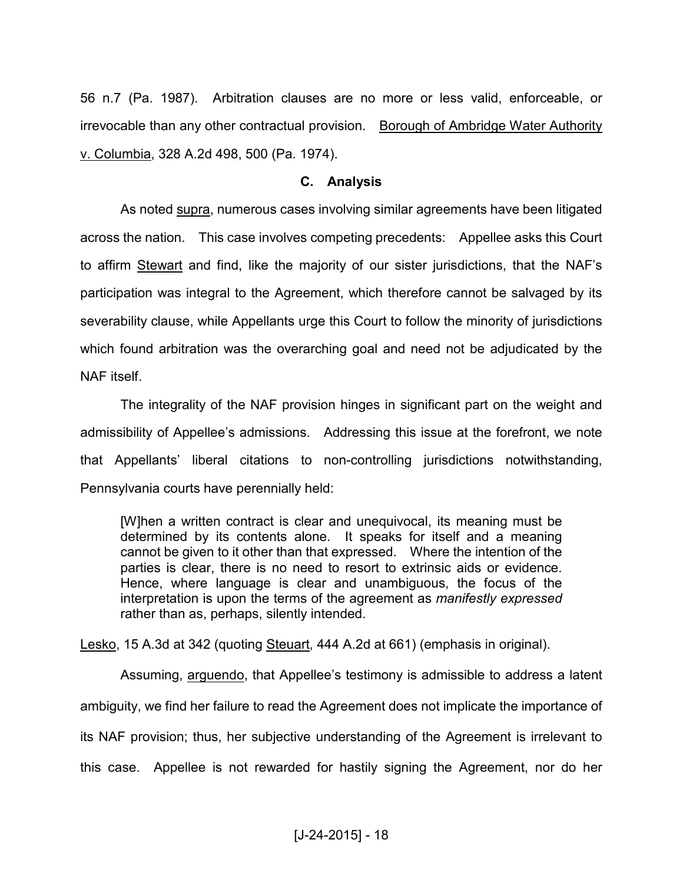56 n.7 (Pa. 1987). Arbitration clauses are no more or less valid, enforceable, or irrevocable than any other contractual provision. Borough of Ambridge Water Authority v. Columbia, 328 A.2d 498, 500 (Pa. 1974).

#### **C. Analysis**

 As noted supra, numerous cases involving similar agreements have been litigated across the nation. This case involves competing precedents: Appellee asks this Court to affirm Stewart and find, like the majority of our sister jurisdictions, that the NAF's participation was integral to the Agreement, which therefore cannot be salvaged by its severability clause, while Appellants urge this Court to follow the minority of jurisdictions which found arbitration was the overarching goal and need not be adjudicated by the NAF itself.

 The integrality of the NAF provision hinges in significant part on the weight and admissibility of Appellee's admissions. Addressing this issue at the forefront, we note that Appellants' liberal citations to non-controlling jurisdictions notwithstanding, Pennsylvania courts have perennially held:

[W]hen a written contract is clear and unequivocal, its meaning must be determined by its contents alone. It speaks for itself and a meaning cannot be given to it other than that expressed. Where the intention of the parties is clear, there is no need to resort to extrinsic aids or evidence. Hence, where language is clear and unambiguous, the focus of the interpretation is upon the terms of the agreement as *manifestly expressed* rather than as, perhaps, silently intended.

Lesko, 15 A.3d at 342 (quoting Steuart, 444 A.2d at 661) (emphasis in original).

 Assuming, arguendo, that Appellee's testimony is admissible to address a latent ambiguity, we find her failure to read the Agreement does not implicate the importance of its NAF provision; thus, her subjective understanding of the Agreement is irrelevant to this case. Appellee is not rewarded for hastily signing the Agreement, nor do her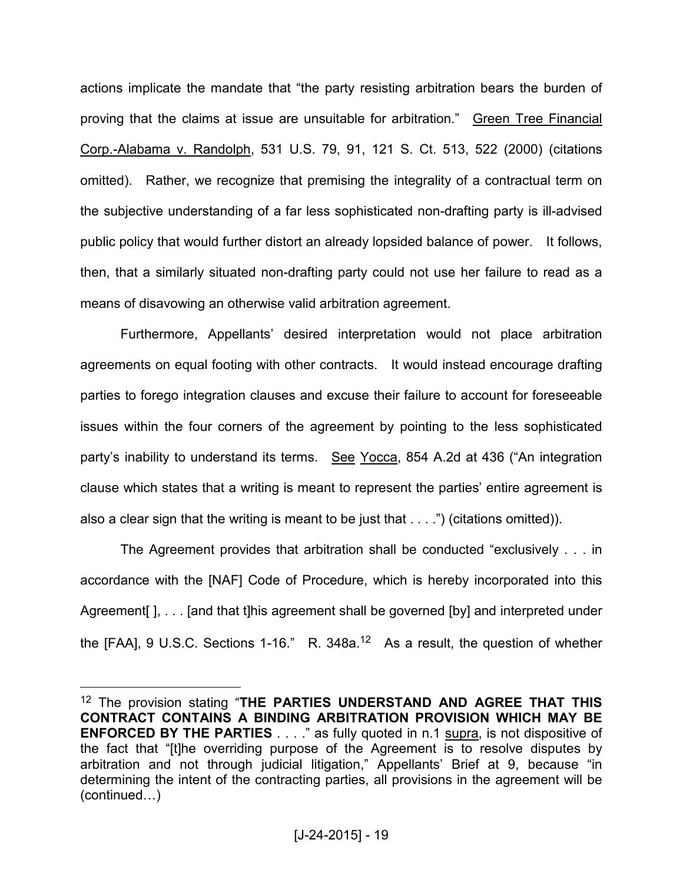actions implicate the mandate that "the party resisting arbitration bears the burden of proving that the claims at issue are unsuitable for arbitration." Green Tree Financial Corp.-Alabama v. Randolph, 531 U.S. 79, 91, 121 S. Ct. 513, 522 (2000) (citations omitted). Rather, we recognize that premising the integrality of a contractual term on the subjective understanding of a far less sophisticated non-drafting party is ill-advised public policy that would further distort an already lopsided balance of power. It follows, then, that a similarly situated non-drafting party could not use her failure to read as a means of disavowing an otherwise valid arbitration agreement.

 Furthermore, Appellants' desired interpretation would not place arbitration agreements on equal footing with other contracts. It would instead encourage drafting parties to forego integration clauses and excuse their failure to account for foreseeable issues within the four corners of the agreement by pointing to the less sophisticated party's inability to understand its terms. See Yocca, 854 A.2d at 436 ("An integration clause which states that a writing is meant to represent the parties' entire agreement is also a clear sign that the writing is meant to be just that . . . .") (citations omitted)).

 The Agreement provides that arbitration shall be conducted "exclusively . . . in accordance with the [NAF] Code of Procedure, which is hereby incorporated into this Agreement [J, ... [and that t] his agreement shall be governed [by] and interpreted under the [FAA], 9 U.S.C. Sections 1-16." R. 348a.12 As a result, the question of whether

<sup>12</sup> The provision stating "**THE PARTIES UNDERSTAND AND AGREE THAT THIS CONTRACT CONTAINS A BINDING ARBITRATION PROVISION WHICH MAY BE ENFORCED BY THE PARTIES** . . . ." as fully quoted in n.1 supra, is not dispositive of the fact that "[t]he overriding purpose of the Agreement is to resolve disputes by arbitration and not through judicial litigation," Appellants' Brief at 9, because "in determining the intent of the contracting parties, all provisions in the agreement will be  $(continued...)$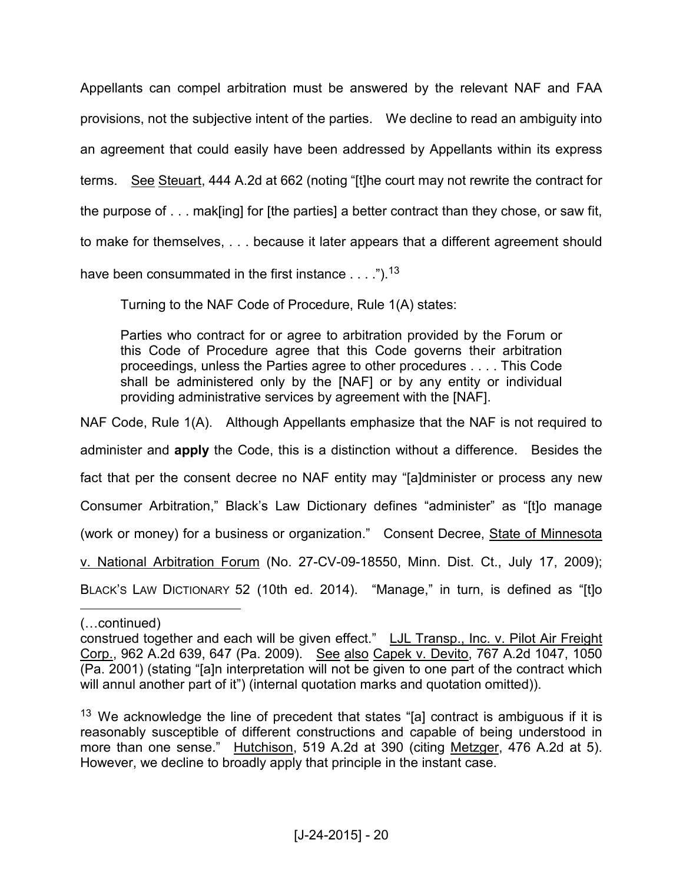Appellants can compel arbitration must be answered by the relevant NAF and FAA provisions, not the subjective intent of the parties. We decline to read an ambiguity into an agreement that could easily have been addressed by Appellants within its express terms. See Steuart, 444 A.2d at 662 (noting "[t]he court may not rewrite the contract for the purpose of . . . mak[ing] for [the parties] a better contract than they chose, or saw fit, to make for themselves, . . . because it later appears that a different agreement should have been consummated in the first instance  $\dots$ .").<sup>13</sup>

Turning to the NAF Code of Procedure, Rule 1(A) states:

Parties who contract for or agree to arbitration provided by the Forum or this Code of Procedure agree that this Code governs their arbitration proceedings, unless the Parties agree to other procedures . . . . This Code shall be administered only by the [NAF] or by any entity or individual providing administrative services by agreement with the [NAF].

NAF Code, Rule 1(A). Although Appellants emphasize that the NAF is not required to administer and **apply** the Code, this is a distinction without a difference. Besides the fact that per the consent decree no NAF entity may "[a]dminister or process any new Consumer Arbitration," Black's Law Dictionary defines "administer" as "[t]o manage (work or money) for a business or organization." Consent Decree, State of Minnesota v. National Arbitration Forum (No. 27-CV-09-18550, Minn. Dist. Ct., July 17, 2009); BLACK'S LAW DICTIONARY 52 (10th ed. 2014). "Manage," in turn, is defined as "[t]o

<sup>(...</sup>continued)

construed together and each will be given effect." LJL Transp., Inc. v. Pilot Air Freight Corp., 962 A.2d 639, 647 (Pa. 2009). See also Capek v. Devito, 767 A.2d 1047, 1050 (Pa. 2001) (stating "[a]n interpretation will not be given to one part of the contract which will annul another part of it") (internal quotation marks and quotation omitted)).

<sup>&</sup>lt;sup>13</sup> We acknowledge the line of precedent that states "[a] contract is ambiguous if it is reasonably susceptible of different constructions and capable of being understood in more than one sense." Hutchison, 519 A.2d at 390 (citing Metzger, 476 A.2d at 5). However, we decline to broadly apply that principle in the instant case.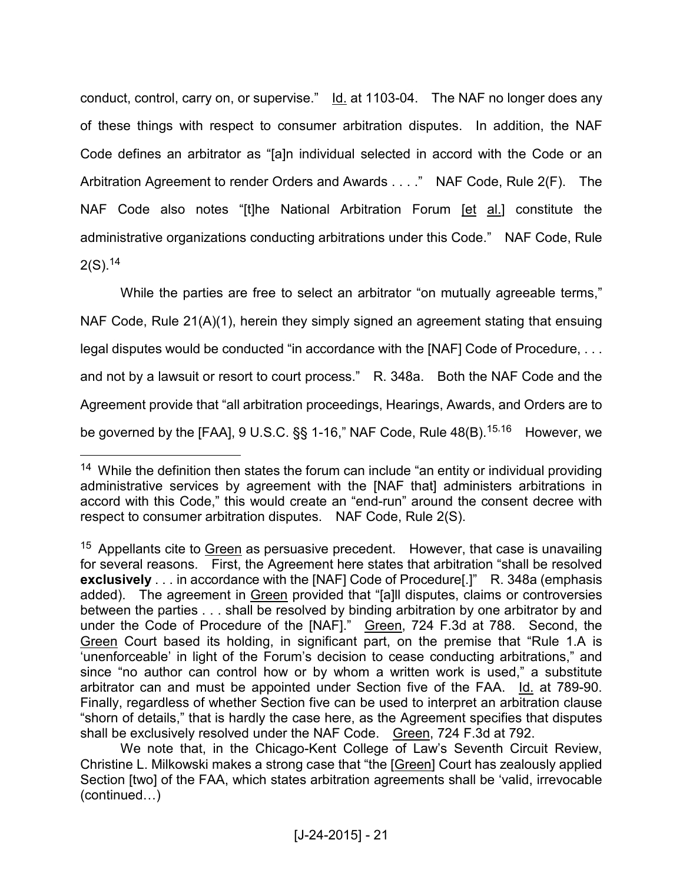conduct, control, carry on, or supervise." Id. at 1103-04. The NAF no longer does any of these things with respect to consumer arbitration disputes. In addition, the NAF Code defines an arbitrator as "[a]n individual selected in accord with the Code or an Arbitration Agreement to render Orders and Awards . . . ." NAF Code, Rule 2(F). The NAF Code also notes "[t]he National Arbitration Forum [et al.] constitute the administrative organizations conducting arbitrations under this Code." NAF Code, Rule 2(S).<sup>14</sup>

While the parties are free to select an arbitrator "on mutually agreeable terms," NAF Code, Rule 21(A)(1), herein they simply signed an agreement stating that ensuing legal disputes would be conducted "in accordance with the [NAF] Code of Procedure, . . . and not by a lawsuit or resort to court process." R. 348a. Both the NAF Code and the Agreement provide that "all arbitration proceedings, Hearings, Awards, and Orders are to be governed by the [FAA], 9 U.S.C. §§ 1-16," NAF Code, Rule 48(B).<sup>15,16</sup> However, we

 $14$  While the definition then states the forum can include "an entity or individual providing administrative services by agreement with the [NAF that] administers arbitrations in accord with this Code," this would create an "end-run" around the consent decree with respect to consumer arbitration disputes. NAF Code, Rule 2(S).

 $15$  Appellants cite to Green as persuasive precedent. However, that case is unavailing for several reasons. First, the Agreement here states that arbitration "shall be resolved **exclusively** . . . in accordance with the [NAF] Code of Procedure[.]" R. 348a (emphasis added). The agreement in Green provided that "[a]ll disputes, claims or controversies between the parties . . . shall be resolved by binding arbitration by one arbitrator by and under the Code of Procedure of the [NAF]." Green, 724 F.3d at 788. Second, the Green Court based its holding, in significant part, on the premise that "Rule 1.A is 'unenforceable' in light of the Forum's decision to cease conducting arbitrations," and since "no author can control how or by whom a written work is used," a substitute arbitrator can and must be appointed under Section five of the FAA. Id. at 789-90. Finally, regardless of whether Section five can be used to interpret an arbitration clause "shorn of details," that is hardly the case here, as the Agreement specifies that disputes shall be exclusively resolved under the NAF Code. Green, 724 F.3d at 792.

We note that, in the Chicago-Kent College of Law's Seventh Circuit Review, Christine L. Milkowski makes a strong case that "the [Green] Court has zealously applied Section [two] of the FAA, which states arbitration agreements shall be 'valid, irrevocable  $(continued...)$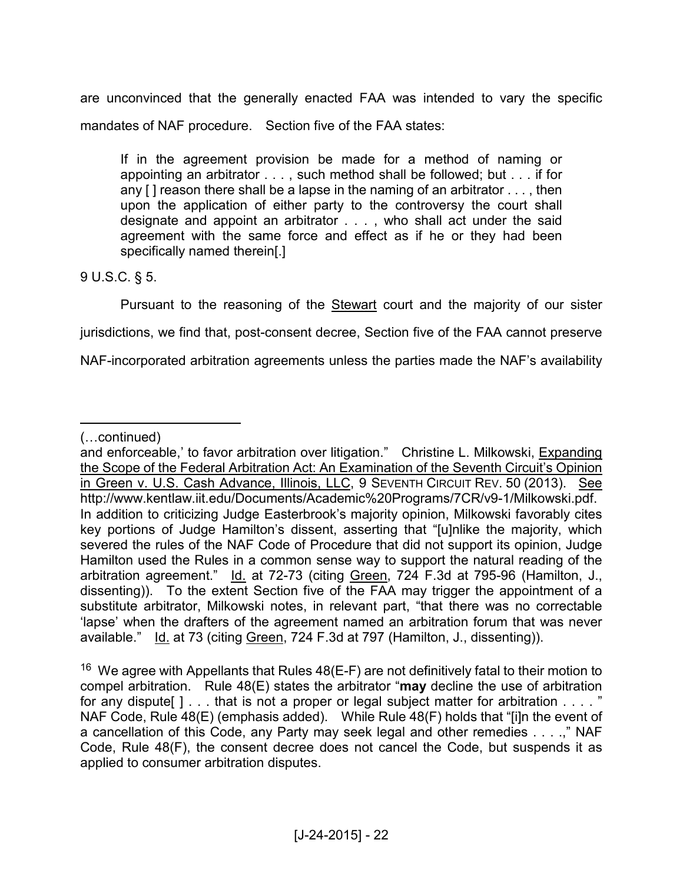are unconvinced that the generally enacted FAA was intended to vary the specific mandates of NAF procedure. Section five of the FAA states:

If in the agreement provision be made for a method of naming or appointing an arbitrator . . . , such method shall be followed; but . . . if for any  $[$ ] reason there shall be a lapse in the naming of an arbitrator  $\dots$ , then upon the application of either party to the controversy the court shall designate and appoint an arbitrator . . . , who shall act under the said agreement with the same force and effect as if he or they had been specifically named therein[.]

9 U.S.C. § 5.

Pursuant to the reasoning of the **Stewart** court and the majority of our sister

jurisdictions, we find that, post-consent decree, Section five of the FAA cannot preserve

NAF-incorporated arbitration agreements unless the parties made the NAF's availability

 $\overline{a}$ (...continued)

and enforceable,' to favor arbitration over litigation." Christine L. Milkowski, Expanding the Scope of the Federal Arbitration Act: An Examination of the Seventh Circuit's Opinion in Green v. U.S. Cash Advance, Illinois, LLC, 9 SEVENTH CIRCUIT REV. 50 (2013). See http://www.kentlaw.iit.edu/Documents/Academic%20Programs/7CR/v9-1/Milkowski.pdf. In addition to criticizing Judge Easterbrook's majority opinion, Milkowski favorably cites key portions of Judge Hamilton's dissent, asserting that "[u]nlike the majority, which severed the rules of the NAF Code of Procedure that did not support its opinion, Judge Hamilton used the Rules in a common sense way to support the natural reading of the arbitration agreement." Id. at 72-73 (citing Green, 724 F.3d at 795-96 (Hamilton, J., dissenting)). To the extent Section five of the FAA may trigger the appointment of a substitute arbitrator, Milkowski notes, in relevant part, "that there was no correctable 'lapse' when the drafters of the agreement named an arbitration forum that was never available." Id. at 73 (citing Green, 724 F.3d at 797 (Hamilton, J., dissenting)).

 $16$  We agree with Appellants that Rules 48(E-F) are not definitively fatal to their motion to compel arbitration. Rule 48(E) states the arbitrator "**may** decline the use of arbitration for any dispute  $\lceil \cdot \rceil$  . . . that is not a proper or legal subject matter for arbitration . . . . " NAF Code, Rule 48(E) (emphasis added). While Rule 48(F) holds that "[i]n the event of a cancellation of this Code, any Party may seek legal and other remedies . . . .," NAF Code, Rule 48(F), the consent decree does not cancel the Code, but suspends it as applied to consumer arbitration disputes.